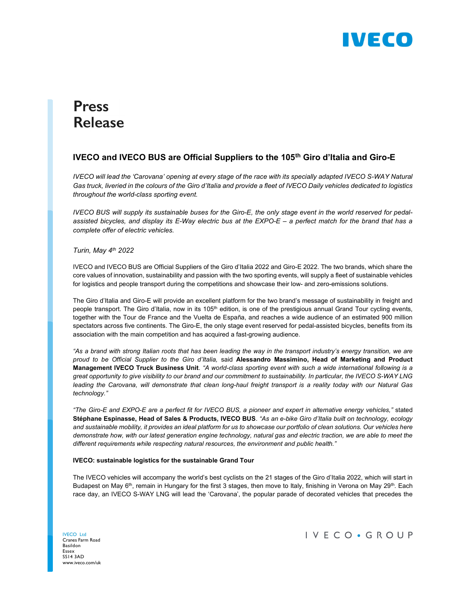

# **Press Release**

# IVECO and IVECO BUS are Official Suppliers to the 105<sup>th</sup> Giro d'Italia and Giro-E

IVECO will lead the 'Carovana' opening at every stage of the race with its specially adapted IVECO S-WAY Natural Gas truck, liveried in the colours of the Giro d'Italia and provide a fleet of IVECO Daily vehicles dedicated to logistics throughout the world-class sporting event.

IVECO BUS will supply its sustainable buses for the Giro-E, the only stage event in the world reserved for pedalassisted bicycles, and display its E-Way electric bus at the EXPO-E – a perfect match for the brand that has a complete offer of electric vehicles.

## Turin, Mav  $4<sup>th</sup>$  2022

IVECO and IVECO BUS are Official Suppliers of the Giro d'Italia 2022 and Giro-E 2022. The two brands, which share the core values of innovation, sustainability and passion with the two sporting events, will supply a fleet of sustainable vehicles for logistics and people transport during the competitions and showcase their low- and zero-emissions solutions.

The Giro d'Italia and Giro-E will provide an excellent platform for the two brand's message of sustainability in freight and people transport. The Giro d'Italia, now in its 105<sup>th</sup> edition, is one of the prestigious annual Grand Tour cycling events, together with the Tour de France and the Vuelta de España, and reaches a wide audience of an estimated 900 million spectators across five continents. The Giro-E, the only stage event reserved for pedal-assisted bicycles, benefits from its association with the main competition and has acquired a fast-growing audience.

"As a brand with strong Italian roots that has been leading the way in the transport industry's energy transition, we are proud to be Official Supplier to the Giro d'Italia, said Alessandro Massimino, Head of Marketing and Product Management IVECO Truck Business Unit. "A world-class sporting event with such a wide international following is a great opportunity to give visibility to our brand and our commitment to sustainability. In particular, the IVECO S-WAY LNG leading the Carovana, will demonstrate that clean long-haul freight transport is a reality today with our Natural Gas technology."

"The Giro-E and EXPO-E are a perfect fit for IVECO BUS, a pioneer and expert in alternative energy vehicles," stated Stéphane Espinasse, Head of Sales & Products, IVECO BUS. "As an e-bike Giro d'Italia built on technology, ecology and sustainable mobility, it provides an ideal platform for us to showcase our portfolio of clean solutions. Our vehicles here demonstrate how, with our latest generation engine technology, natural gas and electric traction, we are able to meet the different requirements while respecting natural resources, the environment and public health."

## IVECO: sustainable logistics for the sustainable Grand Tour

The IVECO vehicles will accompany the world's best cyclists on the 21 stages of the Giro d'Italia 2022, which will start in Budapest on May  $6<sup>th</sup>$ , remain in Hungary for the first 3 stages, then move to Italy, finishing in Verona on May 29<sup>th</sup>. Each race day, an IVECO S-WAY LNG will lead the 'Carovana', the popular parade of decorated vehicles that precedes the

IVECO Ltd Cranes Farm Road Basildon Essex SS14 3AD www.iveco.com/uk IVECO · GROUP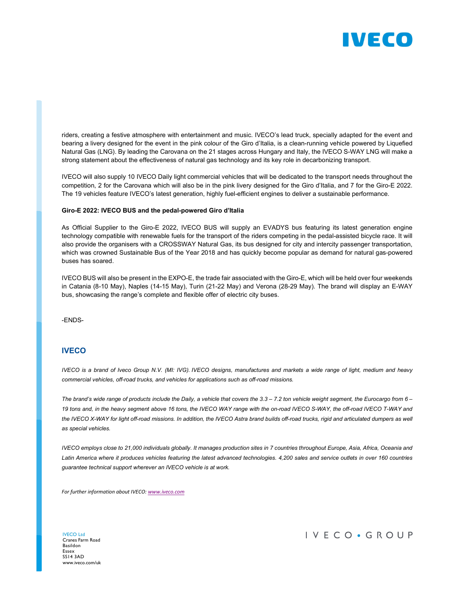

riders, creating a festive atmosphere with entertainment and music. IVECO's lead truck, specially adapted for the event and bearing a livery designed for the event in the pink colour of the Giro d'Italia, is a clean-running vehicle powered by Liquefied Natural Gas (LNG). By leading the Carovana on the 21 stages across Hungary and Italy, the IVECO S-WAY LNG will make a strong statement about the effectiveness of natural gas technology and its key role in decarbonizing transport.

IVECO will also supply 10 IVECO Daily light commercial vehicles that will be dedicated to the transport needs throughout the competition, 2 for the Carovana which will also be in the pink livery designed for the Giro d'Italia, and 7 for the Giro-E 2022. The 19 vehicles feature IVECO's latest generation, highly fuel-efficient engines to deliver a sustainable performance.

#### Giro-E 2022: IVECO BUS and the pedal-powered Giro d'Italia

As Official Supplier to the Giro-E 2022, IVECO BUS will supply an EVADYS bus featuring its latest generation engine technology compatible with renewable fuels for the transport of the riders competing in the pedal-assisted bicycle race. It will also provide the organisers with a CROSSWAY Natural Gas, its bus designed for city and intercity passenger transportation, which was crowned Sustainable Bus of the Year 2018 and has quickly become popular as demand for natural gas-powered buses has soared.

IVECO BUS will also be present in the EXPO-E, the trade fair associated with the Giro-E, which will be held over four weekends in Catania (8-10 May), Naples (14-15 May), Turin (21-22 May) and Verona (28-29 May). The brand will display an E-WAY bus, showcasing the range's complete and flexible offer of electric city buses.

-ENDS-

## **IVECO**

IVECO is a brand of Iveco Group N.V. (MI: IVG). IVECO designs, manufactures and markets a wide range of light, medium and heavy commercial vehicles, off-road trucks, and vehicles for applications such as off-road missions.

The brand's wide range of products include the Daily, a vehicle that covers the  $3.3 - 7.2$  ton vehicle weight segment, the Eurocargo from  $6 -$ 19 tons and, in the heavy segment above 16 tons, the IVECO WAY range with the on-road IVECO S-WAY, the off-road IVECO T-WAY and the IVECO X-WAY for light off-road missions. In addition, the IVECO Astra brand builds off-road trucks, rigid and articulated dumpers as well as special vehicles.

IVECO employs close to 21,000 individuals globally. It manages production sites in 7 countries throughout Europe, Asia, Africa, Oceania and Latin America where it produces vehicles featuring the latest advanced technologies. 4,200 sales and service outlets in over 160 countries guarantee technical support wherever an IVECO vehicle is at work.

For further information about IVECO: www.iveco.com

IVECO Ltd Cranes Farm Road Basildon Essex SS14 3AD www.iveco.com/uk IVECO · GROUP